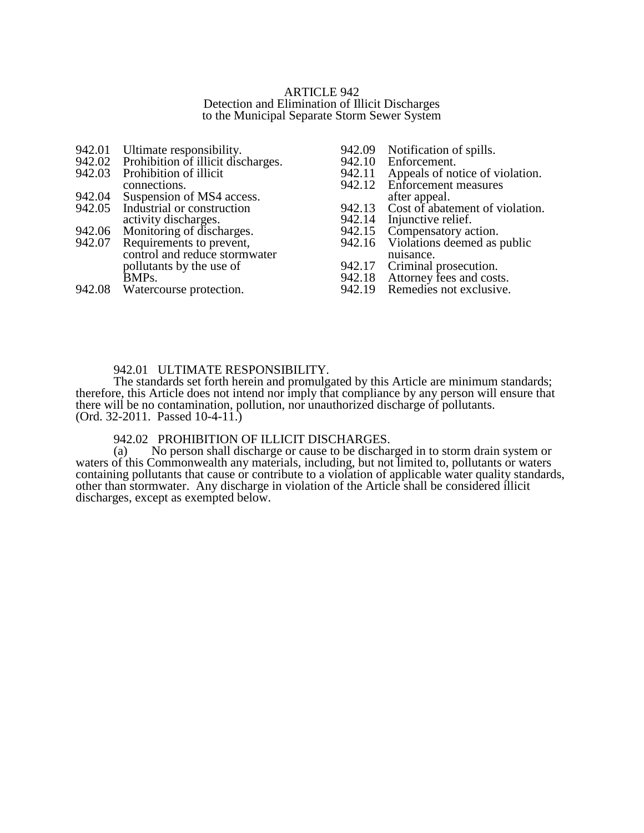#### ARTICLE 942 Detection and Elimination of Illicit Discharges to the Municipal Separate Storm Sewer System

- 942.01 Ultimate responsibility.<br>942.02 Prohibition of illicit disc
- 942.02 Prohibition of illicit discharges.<br>942.03 Prohibition of illicit
- Prohibition of illicit connections.
- 942.04 Suspension of MS4 access.<br>942.05 Industrial or construction
- Industrial or construction activity discharges.
- 
- 942.06 Monitoring of discharges.<br>942.07 Requirements to prevent, Requirements to prevent, control and reduce stormwater pollutants by the use of BMPs.
- 942.08 Watercourse protection.
- 942.09 Notification of spills.<br>942.10 Enforcement.
- 942.10 Enforcement.<br>942.11 Appeals of no
- 942.11 Appeals of notice of violation.<br>942.12 Enforcement measures
- Enforcement measures after appeal.
- 942.13 Cost of abatement of violation.<br>942.14 Injunctive relief.
- 942.14 Injunctive relief.<br>942.15 Compensatory ac
- 942.15 Compensatory action.<br>942.16 Violations deemed as p
- Violations deemed as public nuisance.
- 942.17 Criminal prosecution.<br>942.18 Attorney fees and cost
- Attorney fees and costs.
- 942.19 Remedies not exclusive.

## 942.01 ULTIMATE RESPONSIBILITY.

The standards set forth herein and promulgated by this Article are minimum standards; therefore, this Article does not intend nor imply that compliance by any person will ensure that there will be no contamination, pollution, nor unauthorized discharge of pollutants. (Ord. 32-2011. Passed 10-4-11.)

# 942.02 PROHIBITION OF ILLICIT DISCHARGES.<br>(a) No person shall discharge or cause to be discharge

No person shall discharge or cause to be discharged in to storm drain system or waters of this Commonwealth any materials, including, but not limited to, pollutants or waters containing pollutants that cause or contribute to a violation of applicable water quality standards, other than stormwater. Any discharge in violation of the Article shall be considered illicit discharges, except as exempted below.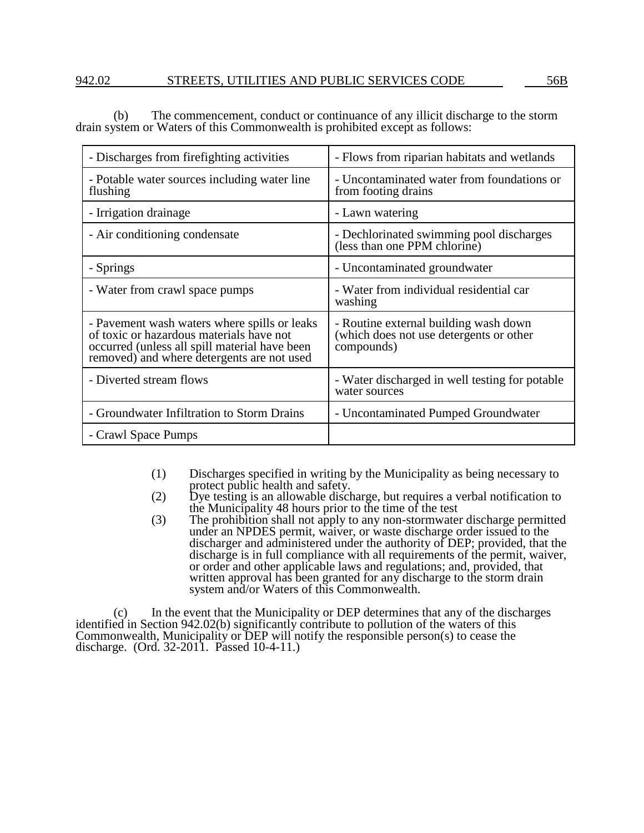## 942.02 STREETS, UTILITIES AND PUBLIC SERVICES CODE 56B

(b) The commencement, conduct or continuance of any illicit discharge to the storm drain system or Waters of this Commonwealth is prohibited except as follows:

| - Discharges from fire fighting activities                                                                                                                                              | - Flows from riparian habitats and wetlands                                                    |  |
|-----------------------------------------------------------------------------------------------------------------------------------------------------------------------------------------|------------------------------------------------------------------------------------------------|--|
| - Potable water sources including water line<br>flushing                                                                                                                                | - Uncontaminated water from foundations or<br>from footing drains                              |  |
| - Irrigation drainage                                                                                                                                                                   | - Lawn watering                                                                                |  |
| - Air conditioning condensate                                                                                                                                                           | - Dechlorinated swimming pool discharges<br>(less than one PPM chlorine)                       |  |
| - Springs                                                                                                                                                                               | - Uncontaminated groundwater                                                                   |  |
| - Water from crawl space pumps                                                                                                                                                          | - Water from individual residential car<br>washing                                             |  |
| - Pavement wash waters where spills or leaks<br>of toxic or hazardous materials have not<br>occurred (unless all spill material have been<br>removed) and where detergents are not used | - Routine external building wash down<br>(which does not use detergents or other<br>compounds) |  |
| - Diverted stream flows                                                                                                                                                                 | - Water discharged in well testing for potable<br>water sources                                |  |
| - Groundwater Infiltration to Storm Drains                                                                                                                                              | - Uncontaminated Pumped Groundwater                                                            |  |
| - Crawl Space Pumps                                                                                                                                                                     |                                                                                                |  |

- (1) Discharges specified in writing by the Municipality as being necessary to protect public health and safety.
- (2) Dye testing is an allowable discharge, but requires a verbal notification to the Municipality 48 hours prior to the time of the test
- (3) The prohibition shall not apply to any non-stormwater discharge permitted under an NPDES permit, waiver, or waste discharge order issued to the discharger and administered under the authority of DEP; provided, that the discharge is in full compliance with all requirements of the permit, waiver, or order and other applicable laws and regulations; and, provided, that written approval has been granted for any discharge to the storm drain system and/or Waters of this Commonwealth.

(c) In the event that the Municipality or DEP determines that any of the discharges identified in Section 942.02(b) significantly contribute to pollution of the waters of this Commonwealth, Municipality or DEP will notify the responsible person(s) to cease the discharge. (Ord. 32-2011. Passed 10-4-11.)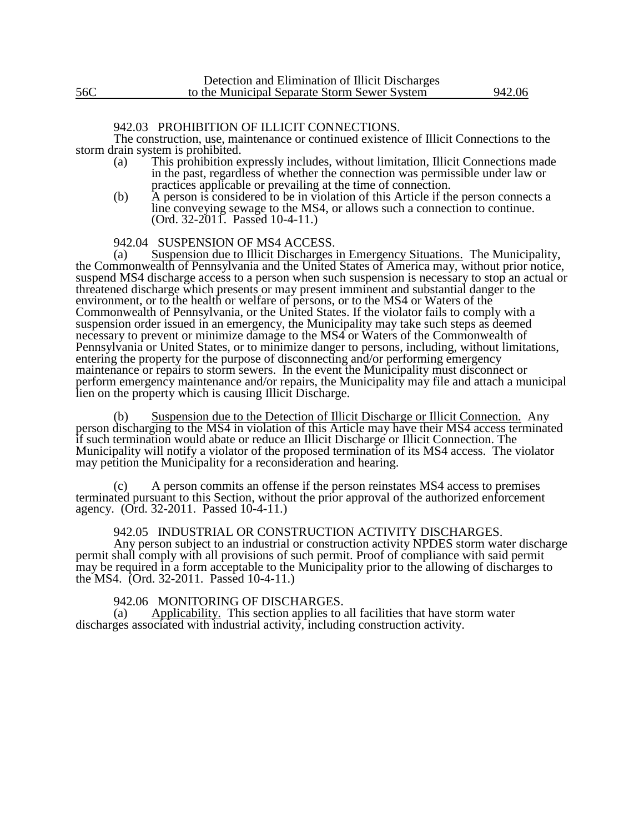### 942.03 PROHIBITION OF ILLICIT CONNECTIONS.

The construction, use, maintenance or continued existence of Illicit Connections to the storm drain system is prohibited.

- (a) This prohibition expressly includes, without limitation, Illicit Connections made in the past, regardless of whether the connection was permissible under law or practices applicable or prevailing at the time of connection.
- (b) A person is considered to be in violation of this Article if the person connects a line conveying sewage to the MS4, or allows such a connection to continue. (Ord. 32-2011. Passed 10-4-11.)

942.04 SUSPENSION OF MS4 ACCESS.

(a) Suspension due to Illicit Discharges in Emergency Situations. The Municipality, the Commonwealth of Pennsylvania and the United States of America may, without prior notice, suspend MS4 discharge access to a person when such suspension is necessary to stop an actual or threatened discharge which presents or may present imminent and substantial danger to the environment, or to the health or welfare of persons, or to the MS4 or Waters of the Commonwealth of Pennsylvania, or the United States. If the violator fails to comply with a suspension order issued in an emergency, the Municipality may take such steps as deemed necessary to prevent or minimize damage to the MS4 or Waters of the Commonwealth of Pennsylvania or United States, or to minimize danger to persons, including, without limitations, entering the property for the purpose of disconnecting and/or performing emergency maintenance or repairs to storm sewers. In the event the Municipality must disconnect or perform emergency maintenance and/or repairs, the Municipality may file and attach a municipal lien on the property which is causing Illicit Discharge.

(b) Suspension due to the Detection of Illicit Discharge or Illicit Connection. Any person discharging to the MS4 in violation of this Article may have their MS4 access terminated if such termination would abate or reduce an Illicit Discharge or Illicit Connection. The Municipality will notify a violator of the proposed termination of its MS4 access. The violator may petition the Municipality for a reconsideration and hearing.

(c) A person commits an offense if the person reinstates MS4 access to premises terminated pursuant to this Section, without the prior approval of the authorized enforcement agency. (Ord. 32-2011. Passed 10-4-11.)

## 942.05 INDUSTRIAL OR CONSTRUCTION ACTIVITY DISCHARGES.

Any person subject to an industrial or construction activity NPDES storm water discharge permit shall comply with all provisions of such permit. Proof of compliance with said permit may be required in a form acceptable to the Municipality prior to the allowing of discharges to the MS4. (Ord. 32-2011. Passed 10-4-11.)

## 942.06 MONITORING OF DISCHARGES.

(a) Applicability. This section applies to all facilities that have storm water discharges associated with industrial activity, including construction activity.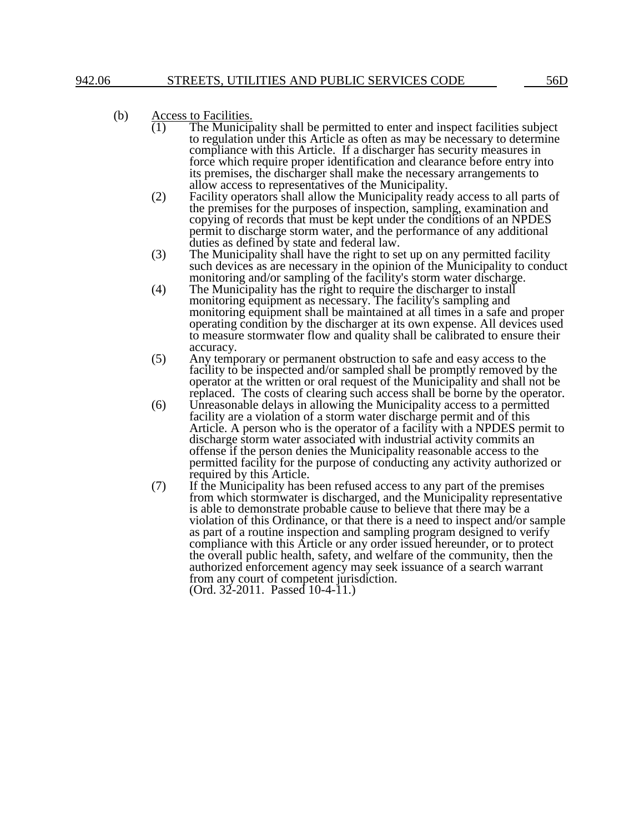# (b)  $\frac{\text{Access to Facilities.}}{(1)}$  The Municip

- The Municipality shall be permitted to enter and inspect facilities subject to regulation under this Article as often as may be necessary to determine compliance with this Article. If a discharger has security measures in force which require proper identification and clearance before entry into its premises, the discharger shall make the necessary arrangements to allow access to representatives of the Municipality.
- (2) Facility operators shall allow the Municipality ready access to all parts of the premises for the purposes of inspection, sampling, examination and copying of records that must be kept under the conditions of an NPDES permit to discharge storm water, and the performance of any additional duties as defined by state and federal law.
- (3) The Municipality shall have the right to set up on any permitted facility such devices as are necessary in the opinion of the Municipality to conduct monitoring and/or sampling of the facility's storm water discharge.
- (4) The Municipality has the right to require the discharger to install monitoring equipment as necessary. The facility's sampling and monitoring equipment shall be maintained at all times in a safe and proper operating condition by the discharger at its own expense. All devices used to measure stormwater flow and quality shall be calibrated to ensure their accuracy.
- (5) Any temporary or permanent obstruction to safe and easy access to the facility to be inspected and/or sampled shall be promptly removed by the operator at the written or oral request of the Municipality and shall not be replaced. The costs of clearing such access shall be borne by the operator.
- (6) Unreasonable delays in allowing the Municipality access to a permitted facility are a violation of a storm water discharge permit and of this Article. A person who is the operator of a facility with a NPDES permit to discharge storm water associated with industrial activity commits an offense if the person denies the Municipality reasonable access to the permitted facility for the purpose of conducting any activity authorized or required by this Article.
- (7) If the Municipality has been refused access to any part of the premises from which stormwater is discharged, and the Municipality representative is able to demonstrate probable cause to believe that there may be a violation of this Ordinance, or that there is a need to inspect and/or sample as part of a routine inspection and sampling program designed to verify compliance with this Article or any order issued hereunder, or to protect the overall public health, safety, and welfare of the community, then the authorized enforcement agency may seek issuance of a search warrant from any court of competent jurisdiction. (Ord. 32-2011. Passed 10-4-11.)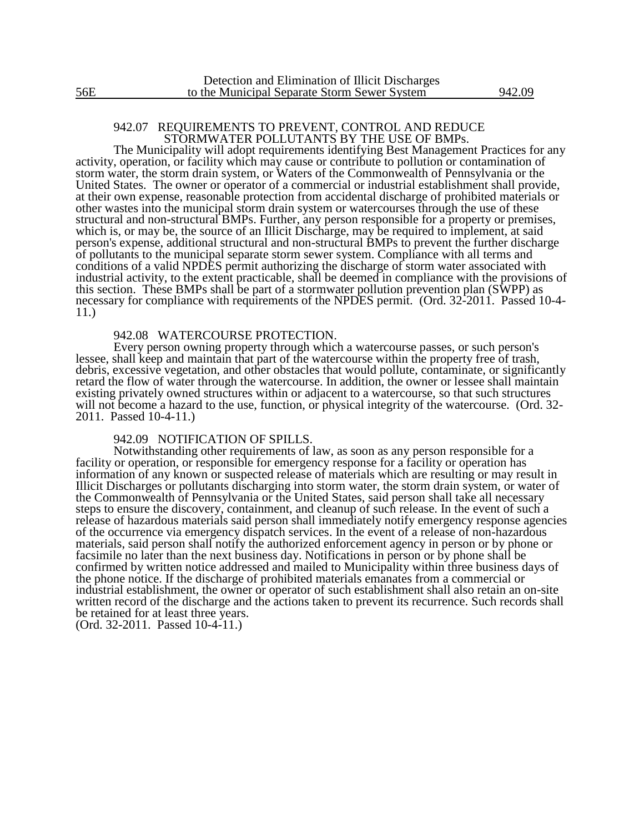## 942.07 REQUIREMENTS TO PREVENT, CONTROL AND REDUCE STORMWATER POLLUTANTS BY THE USE OF BMPs.

The Municipality will adopt requirements identifying Best Management Practices for any activity, operation, or facility which may cause or contribute to pollution or contamination of storm water, the storm drain system, or Waters of the Commonwealth of Pennsylvania or the United States. The owner or operator of a commercial or industrial establishment shall provide, at their own expense, reasonable protection from accidental discharge of prohibited materials or other wastes into the municipal storm drain system or watercourses through the use of these structural and non-structural BMPs. Further, any person responsible for a property or premises, which is, or may be, the source of an Illicit Discharge, may be required to implement, at said person's expense, additional structural and non-structural BMPs to prevent the further discharge of pollutants to the municipal separate storm sewer system. Compliance with all terms and conditions of a valid NPDES permit authorizing the discharge of storm water associated with industrial activity, to the extent practicable, shall be deemed in compliance with the provisions of this section. These BMPs shall be part of a stormwater pollution prevention plan (SWPP) as necessary for compliance with requirements of the NPDES permit. (Ord. 32-2011. Passed 10-4- 11.)

#### 942.08 WATERCOURSE PROTECTION.

Every person owning property through which a watercourse passes, or such person's lessee, shall keep and maintain that part of the watercourse within the property free of trash, debris, excessive vegetation, and other obstacles that would pollute, contaminate, or significantly retard the flow of water through the watercourse. In addition, the owner or lessee shall maintain existing privately owned structures within or adjacent to a watercourse, so that such structures will not become a hazard to the use, function, or physical integrity of the watercourse. (Ord. 32-2011. Passed 10-4-11.)

#### 942.09 NOTIFICATION OF SPILLS.

Notwithstanding other requirements of law, as soon as any person responsible for a facility or operation, or responsible for emergency response for a facility or operation has information of any known or suspected release of materials which are resulting or may result in Illicit Discharges or pollutants discharging into storm water, the storm drain system, or water of the Commonwealth of Pennsylvania or the United States, said person shall take all necessary steps to ensure the discovery, containment, and cleanup of such release. In the event of such a release of hazardous materials said person shall immediately notify emergency response agencies of the occurrence via emergency dispatch services. In the event of a release of non-hazardous materials, said person shall notify the authorized enforcement agency in person or by phone or facsimile no later than the next business day. Notifications in person or by phone shall be confirmed by written notice addressed and mailed to Municipality within three business days of the phone notice. If the discharge of prohibited materials emanates from a commercial or industrial establishment, the owner or operator of such establishment shall also retain an on-site written record of the discharge and the actions taken to prevent its recurrence. Such records shall be retained for at least three years.

(Ord. 32-2011. Passed 10-4-11.)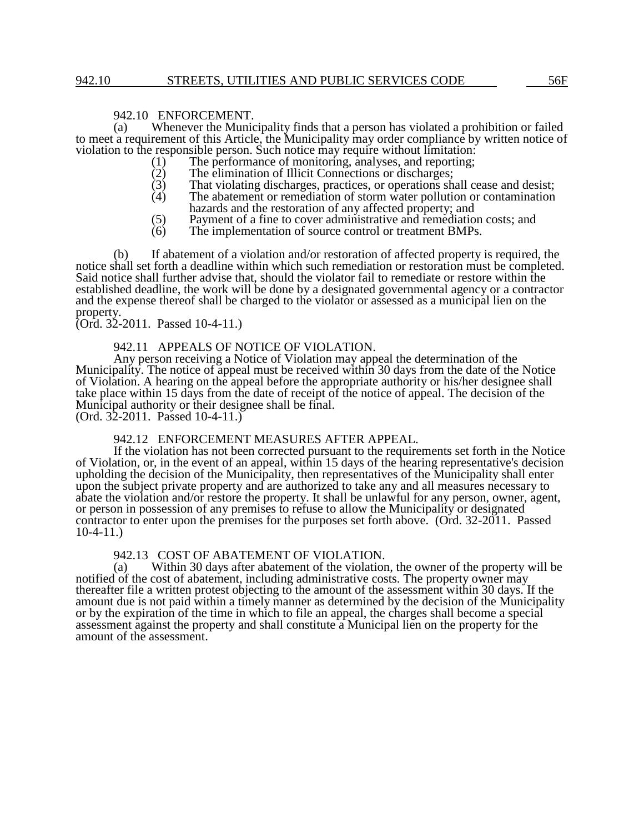# 942.10 ENFORCEMENT.<br>(a) Whenever the Munic

Whenever the Municipality finds that a person has violated a prohibition or failed to meet a requirement of this Article, the Municipality may order compliance by written notice of violation to the responsible person. Such notice may require without limitation:<br>(1) The performance of monitoring, analyses, and reporting;

- (1) The performance of monitoring, analyses, and reporting;<br>(2) The elimination of Illicit Connections or discharges;
- 
- (2) The elimination of Illicit Connections or discharges;<br>
(3) That violating discharges, practices, or operations sh<br>
(4) The abatement or remediation of storm water pollution That violating discharges, practices, or operations shall cease and desist;
- The abatement or remediation of storm water pollution or contamination hazards and the restoration of any affected property; and
- $(5)$  Payment of a fine to cover administrative and remediation costs; and  $(6)$  The implementation of source control or treatment BMPs.
- The implementation of source control or treatment BMPs.

(b) If abatement of a violation and/or restoration of affected property is required, the notice shall set forth a deadline within which such remediation or restoration must be completed. Said notice shall further advise that, should the violator fail to remediate or restore within the established deadline, the work will be done by a designated governmental agency or a contractor and the expense thereof shall be charged to the violator or assessed as a municipal lien on the property.

## (Ord. 32-2011. Passed 10-4-11.)

## 942.11 APPEALS OF NOTICE OF VIOLATION.

Any person receiving a Notice of Violation may appeal the determination of the Municipality. The notice of appeal must be received within 30 days from the date of the Notice of Violation. A hearing on the appeal before the appropriate authority or his/her designee shall take place within 15 days from the date of receipt of the notice of appeal. The decision of the Municipal authority or their designee shall be final.

(Ord. 32-2011. Passed 10-4-11.)

### 942.12 ENFORCEMENT MEASURES AFTER APPEAL.

If the violation has not been corrected pursuant to the requirements set forth in the Notice of Violation, or, in the event of an appeal, within 15 days of the hearing representative's decision upholding the decision of the Municipality, then representatives of the Municipality shall enter upon the subject private property and are authorized to take any and all measures necessary to abate the violation and/or restore the property. It shall be unlawful for any person, owner, agent, or person in possession of any premises to refuse to allow the Municipality or designated contractor to enter upon the premises for the purposes set forth above. (Ord. 32-2011. Passed 10-4-11.)

## 942.13 COST OF ABATEMENT OF VIOLATION.

(a) Within 30 days after abatement of the violation, the owner of the property will be notified of the cost of abatement, including administrative costs. The property owner may thereafter file a written protest objecting to the amount of the assessment within 30 days. If the amount due is not paid within a timely manner as determined by the decision of the Municipality or by the expiration of the time in which to file an appeal, the charges shall become a special assessment against the property and shall constitute a Municipal lien on the property for the amount of the assessment.